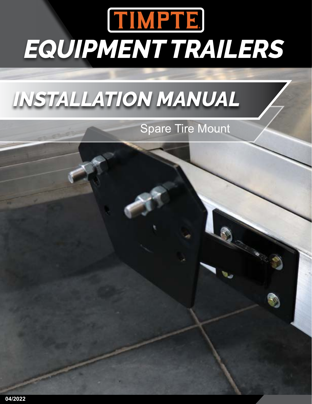## TIMPTE. *EQUIPMENT TRAILERS*

## *INSTALLATION MANUAL*

Spare Tire Mount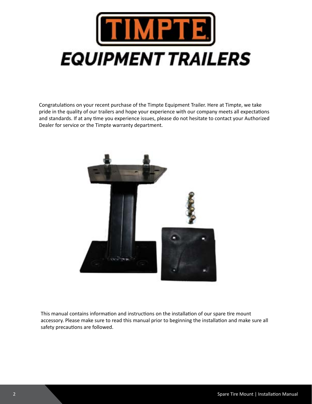

Congratulations on your recent purchase of the Timpte Equipment Trailer. Here at Timpte, we take pride in the quality of our trailers and hope your experience with our company meets all expectations and standards. If at any time you experience issues, please do not hesitate to contact your Authorized Dealer for service or the Timpte warranty department.



This manual contains information and instructions on the installation of our spare tire mount accessory. Please make sure to read this manual prior to beginning the installation and make sure all safety precautions are followed.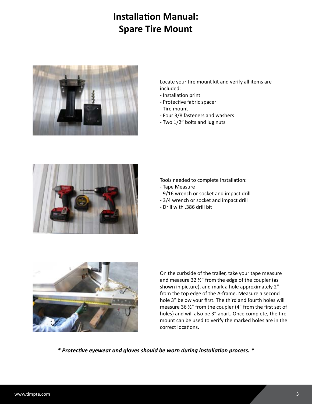## **Installation Manual: Spare Tire Mount**



Locate your tire mount kit and verify all items are included:

- Installation print
- Protective fabric spacer
- Tire mount
- Four 3/8 fasteners and washers
- Two 1/2" bolts and lug nuts



Tools needed to complete Installation:

- Tape Measure
- 9/16 wrench or socket and impact drill
- 3/4 wrench or socket and impact drill
- Drill with .386 drill bit



On the curbside of the trailer, take your tape measure and measure 32 ½" from the edge of the coupler (as shown in picture), and mark a hole approximately 2" from the top edge of the A-frame. Measure a second hole 3" below your first. The third and fourth holes will measure 36 ½" from the coupler (4" from the first set of holes) and will also be 3" apart. Once complete, the tire mount can be used to verify the marked holes are in the correct locations.

*\* Protective eyewear and gloves should be worn during installation process. \**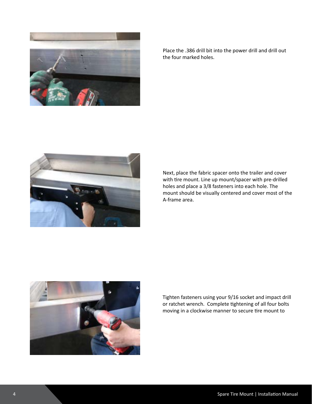

Place the .386 drill bit into the power drill and drill out the four marked holes.



Next, place the fabric spacer onto the trailer and cover with tire mount. Line up mount/spacer with pre-drilled holes and place a 3/8 fasteners into each hole. The mount should be visually centered and cover most of the A-frame area.



Tighten fasteners using your 9/16 socket and impact drill or ratchet wrench. Complete tightening of all four bolts moving in a clockwise manner to secure tire mount to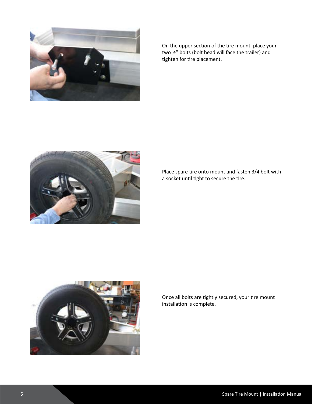

On the upper section of the tire mount, place your two ½" bolts (bolt head will face the trailer) and tighten for tire placement.



Place spare tire onto mount and fasten 3/4 bolt with a socket until tight to secure the tire.



Once all bolts are tightly secured, your tire mount installation is complete.